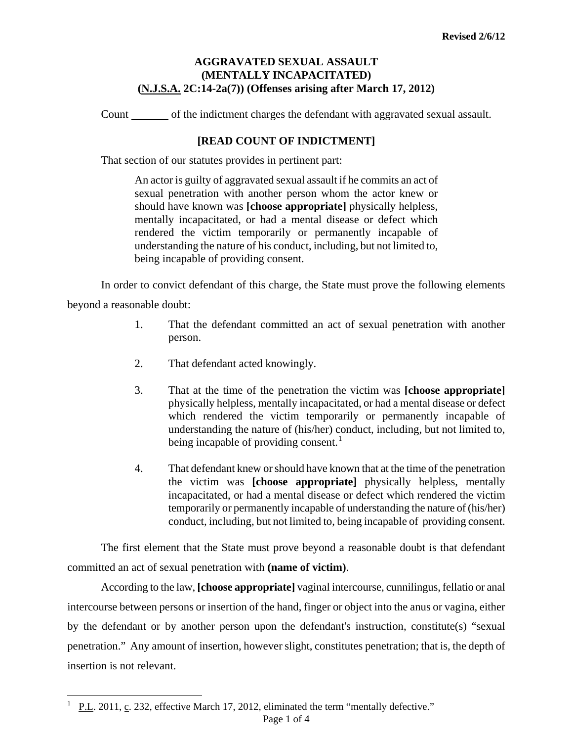## **AGGRAVATED SEXUAL ASSAULT (MENTALLY INCAPACITATED) (N.J.S.A. 2C:14-2a(7)) (Offenses arising after March 17, 2012)**

Count of the indictment charges the defendant with aggravated sexual assault.

# **[READ COUNT OF INDICTMENT]**

That section of our statutes provides in pertinent part:

An actor is guilty of aggravated sexual assault if he commits an act of sexual penetration with another person whom the actor knew or should have known was **[choose appropriate]** physically helpless, mentally incapacitated, or had a mental disease or defect which rendered the victim temporarily or permanently incapable of understanding the nature of his conduct, including, but not limited to, being incapable of providing consent.

In order to convict defendant of this charge, the State must prove the following elements beyond a reasonable doubt:

- 1. That the defendant committed an act of sexual penetration with another person.
- 2. That defendant acted knowingly.
- 3. That at the time of the penetration the victim was **[choose appropriate]** physically helpless, mentally incapacitated, or had a mental disease or defect which rendered the victim temporarily or permanently incapable of understanding the nature of (his/her) conduct, including, but not limited to, being incapable of providing consent.<sup>1</sup>
- 4. That defendant knew or should have known that at the time of the penetration the victim was **[choose appropriate]** physically helpless, mentally incapacitated, or had a mental disease or defect which rendered the victim temporarily or permanently incapable of understanding the nature of (his/her) conduct, including, but not limited to, being incapable of providing consent.

The first element that the State must prove beyond a reasonable doubt is that defendant committed an act of sexual penetration with **(name of victim)**.

<span id="page-0-1"></span>According to the law, **[choose appropriate]** vaginal intercourse, cunnilingus, fellatio or anal intercourse between persons or insertion of the hand, finger or object into the anus or vagina, either by the defendant or by another person upon the defendant's instruction, constitute(s) "sexual penetration." Any amount of insertion, however slight, constitutes penetration; that is, the depth of insertion is not relevant.

<span id="page-0-0"></span>i<br>L

<sup>1</sup> P.L. 2011, c. 232, effective March 17, 2012, eliminated the term "mentally defective."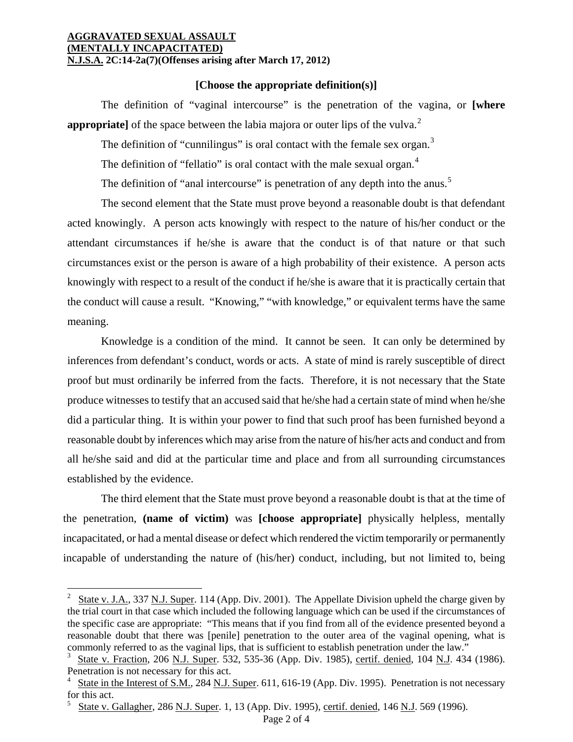### **AGGRAVATED SEXUAL ASSAULT (MENTALLY INCAPACITATED) N.J.S.A. 2C:14-2a(7)(Offenses arising after March 17, 2012)**

## **[Choose the appropriate definition(s)]**

The definition of "vaginal intercourse" is the penetration of the vagina, or **[where appropriate**] of the space between the labia majora or outer lips of the vulva.<sup>[2](#page-0-1)</sup>

The definition of "cunnilingus" is oral contact with the female sex organ. $3$ 

The definition of "fellatio" is oral contact with the male sexual organ.<sup>[4](#page-1-1)</sup>

The definition of "anal intercourse" is penetration of any depth into the anus.<sup>[5](#page-1-2)</sup>

The second element that the State must prove beyond a reasonable doubt is that defendant acted knowingly. A person acts knowingly with respect to the nature of his/her conduct or the attendant circumstances if he/she is aware that the conduct is of that nature or that such circumstances exist or the person is aware of a high probability of their existence. A person acts knowingly with respect to a result of the conduct if he/she is aware that it is practically certain that the conduct will cause a result. "Knowing," "with knowledge," or equivalent terms have the same meaning.

Knowledge is a condition of the mind. It cannot be seen. It can only be determined by inferences from defendant's conduct, words or acts. A state of mind is rarely susceptible of direct proof but must ordinarily be inferred from the facts. Therefore, it is not necessary that the State produce witnesses to testify that an accused said that he/she had a certain state of mind when he/she did a particular thing. It is within your power to find that such proof has been furnished beyond a reasonable doubt by inferences which may arise from the nature of his/her acts and conduct and from all he/she said and did at the particular time and place and from all surrounding circumstances established by the evidence.

The third element that the State must prove beyond a reasonable doubt is that at the time of the penetration, **(name of victim)** was **[choose appropriate]** physically helpless, mentally incapacitated, or had a mental disease or defect which rendered the victim temporarily or permanently incapable of understanding the nature of (his/her) conduct, including, but not limited to, being

i

<sup>2</sup> State v. J.A., 337 N.J. Super. 114 (App. Div. 2001). The Appellate Division upheld the charge given by the trial court in that case which included the following language which can be used if the circumstances of the specific case are appropriate: "This means that if you find from all of the evidence presented beyond a reasonable doubt that there was [penile] penetration to the outer area of the vaginal opening, what is commonly referred to as the vaginal lips, that is sufficient to establish penetration under the law."

<span id="page-1-0"></span><sup>3</sup> State v. Fraction, 206 N.J. Super. 532, 535-36 (App. Div. 1985), certif. denied, 104 N.J. 434 (1986). Penetration is not necessary for this act.

<span id="page-1-3"></span><span id="page-1-1"></span><sup>4</sup> State in the Interest of S.M., 284 N.J. Super. 611, 616-19 (App. Div. 1995). Penetration is not necessary for this act.

<span id="page-1-2"></span><sup>5</sup> State v. Gallagher, 286 N.J. Super. 1, 13 (App. Div. 1995), certif. denied, 146 N.J. 569 (1996).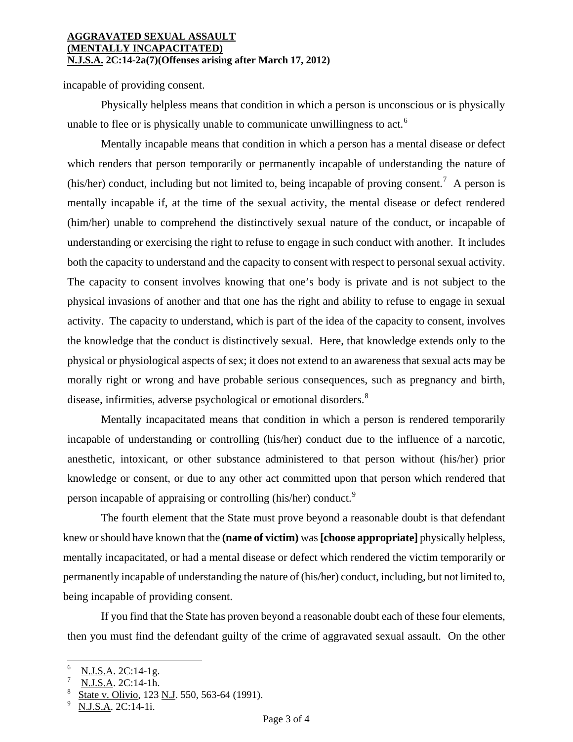### **AGGRAVATED SEXUAL ASSAULT (MENTALLY INCAPACITATED) N.J.S.A. 2C:14-2a(7)(Offenses arising after March 17, 2012)**

incapable of providing consent.

Physically helpless means that condition in which a person is unconscious or is physically unable to flee or is physically unable to communicate unwillingness to act.<sup>[6](#page-1-3)</sup>

Mentally incapable means that condition in which a person has a mental disease or defect which renders that person temporarily or permanently incapable of understanding the nature of (his/her) conduct, including but not limited to, being incapable of proving consent.<sup>[7](#page-2-0)</sup> A person is mentally incapable if, at the time of the sexual activity, the mental disease or defect rendered (him/her) unable to comprehend the distinctively sexual nature of the conduct, or incapable of understanding or exercising the right to refuse to engage in such conduct with another. It includes both the capacity to understand and the capacity to consent with respect to personal sexual activity. The capacity to consent involves knowing that one's body is private and is not subject to the physical invasions of another and that one has the right and ability to refuse to engage in sexual activity. The capacity to understand, which is part of the idea of the capacity to consent, involves the knowledge that the conduct is distinctively sexual. Here, that knowledge extends only to the physical or physiological aspects of sex; it does not extend to an awareness that sexual acts may be morally right or wrong and have probable serious consequences, such as pregnancy and birth, disease, infirmities, adverse psychological or emotional disorders.<sup>[8](#page-2-1)</sup>

Mentally incapacitated means that condition in which a person is rendered temporarily incapable of understanding or controlling (his/her) conduct due to the influence of a narcotic, anesthetic, intoxicant, or other substance administered to that person without (his/her) prior knowledge or consent, or due to any other act committed upon that person which rendered that person incapable of appraising or controlling (his/her) conduct.<sup>[9](#page-2-2)</sup>

The fourth element that the State must prove beyond a reasonable doubt is that defendant knew or should have known that the **(name of victim)** was **[choose appropriate]** physically helpless, mentally incapacitated, or had a mental disease or defect which rendered the victim temporarily or permanently incapable of understanding the nature of (his/her) conduct, including, but not limited to, being incapable of providing consent.

If you find that the State has proven beyond a reasonable doubt each of these four elements, then you must find the defendant guilty of the crime of aggravated sexual assault. On the other

i

<sup>6</sup> N.J.S.A. 2C:14-1g.

<span id="page-2-1"></span><span id="page-2-0"></span><sup>7</sup> N.J.S.A. 2C:14-1h.

<sup>8</sup> State v. Olivio, 123 N.J. 550, 563-64 (1991).

<span id="page-2-2"></span><sup>9</sup> N.J.S.A. 2C:14-1i.